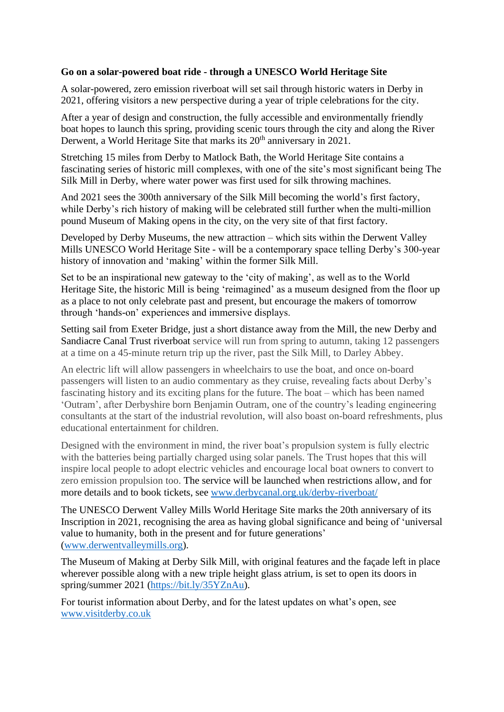## **Go on a solar-powered boat ride - through a UNESCO World Heritage Site**

A solar-powered, zero emission riverboat will set sail through historic waters in Derby in 2021, offering visitors a new perspective during a year of triple celebrations for the city.

After a year of design and construction, the fully accessible and environmentally friendly boat hopes to launch this spring, providing scenic tours through the city and along the River Derwent, a World Heritage Site that marks its 20<sup>th</sup> anniversary in 2021.

Stretching 15 miles from Derby to Matlock Bath, the World Heritage Site contains a fascinating series of historic mill complexes, with one of the site's most significant being The Silk Mill in Derby, where water power was first used for silk throwing machines.

And 2021 sees the 300th anniversary of the Silk Mill becoming the world's first factory, while Derby's rich history of making will be celebrated still further when the multi-million pound Museum of Making opens in the city, on the very site of that first factory.

Developed by Derby Museums, the new attraction – which sits within the Derwent Valley Mills UNESCO World Heritage Site - will be a contemporary space telling Derby's 300-year history of innovation and 'making' within the former Silk Mill.

Set to be an inspirational new gateway to the 'city of making', as well as to the World Heritage Site, the historic Mill is being 'reimagined' as a museum designed from the floor up as a place to not only celebrate past and present, but encourage the makers of tomorrow through 'hands-on' experiences and immersive displays.

Setting sail from Exeter Bridge, just a short distance away from the Mill, the new Derby and Sandiacre Canal Trust riverboat service will run from spring to autumn, taking 12 passengers at a time on a 45-minute return trip up the river, past the Silk Mill, to Darley Abbey.

An electric lift will allow passengers in wheelchairs to use the boat, and once on-board passengers will listen to an audio commentary as they cruise, revealing facts about Derby's fascinating history and its exciting plans for the future. The boat – which has been named 'Outram', after Derbyshire born Benjamin Outram, one of the country's leading engineering consultants at the start of the industrial revolution, will also boast on-board refreshments, plus educational entertainment for children.

Designed with the environment in mind, the river boat's propulsion system is fully electric with the batteries being partially charged using solar panels. The Trust hopes that this will inspire local people to adopt electric vehicles and encourage local boat owners to convert to zero emission propulsion too. The service will be launched when restrictions allow, and for more details and to book tickets, see [www.derbycanal.org.uk/derby-riverboat/](http://www.derbycanal.org.uk/derby-riverboat/)

The UNESCO Derwent Valley Mills World Heritage Site marks the 20th anniversary of its Inscription in 2021, recognising the area as having global significance and being of 'universal value to humanity, both in the present and for future generations' [\(www.derwentvalleymills.org\)](http://www.derwentvalleymills.org/).

The Museum of Making at Derby Silk Mill, with original features and the façade left in place wherever possible along with a new triple height glass atrium, is set to open its doors in spring/summer 2021 [\(https://bit.ly/35YZnAu\)](https://bit.ly/35YZnAu).

For tourist information about Derby, and for the latest updates on what's open, see [www.visitderby.co.uk](http://www.visitderby.co.uk/)